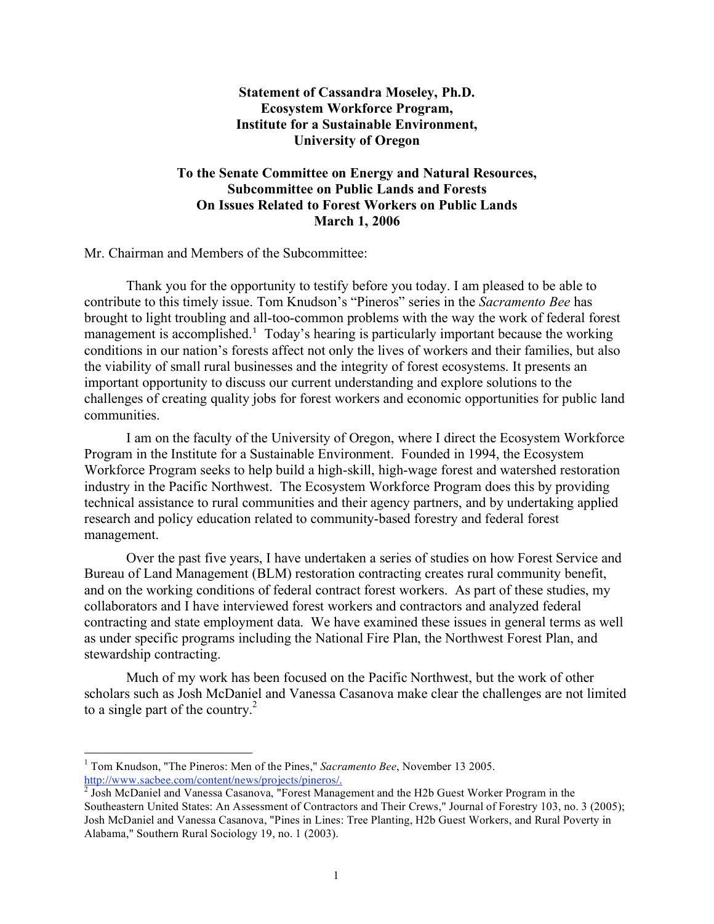# **Statement of Cassandra Moseley, Ph.D. Ecosystem Workforce Program, Institute for a Sustainable Environment, University of Oregon**

# **To the Senate Committee on Energy and Natural Resources, Subcommittee on Public Lands and Forests On Issues Related to Forest Workers on Public Lands March 1, 2006**

Mr. Chairman and Members of the Subcommittee:

Thank you for the opportunity to testify before you today. I am pleased to be able to contribute to this timely issue. Tom Knudson's "Pineros" series in the *Sacramento Bee* has brought to light troubling and all-too-common problems with the way the work of federal forest management is accomplished.<sup>1</sup> Today's hearing is particularly important because the working conditions in our nation's forests affect not only the lives of workers and their families, but also the viability of small rural businesses and the integrity of forest ecosystems. It presents an important opportunity to discuss our current understanding and explore solutions to the challenges of creating quality jobs for forest workers and economic opportunities for public land communities.

I am on the faculty of the University of Oregon, where I direct the Ecosystem Workforce Program in the Institute for a Sustainable Environment. Founded in 1994, the Ecosystem Workforce Program seeks to help build a high-skill, high-wage forest and watershed restoration industry in the Pacific Northwest. The Ecosystem Workforce Program does this by providing technical assistance to rural communities and their agency partners, and by undertaking applied research and policy education related to community-based forestry and federal forest management.

Over the past five years, I have undertaken a series of studies on how Forest Service and Bureau of Land Management (BLM) restoration contracting creates rural community benefit, and on the working conditions of federal contract forest workers. As part of these studies, my collaborators and I have interviewed forest workers and contractors and analyzed federal contracting and state employment data. We have examined these issues in general terms as well as under specific programs including the National Fire Plan, the Northwest Forest Plan, and stewardship contracting.

Much of my work has been focused on the Pacific Northwest, but the work of other scholars such as Josh McDaniel and Vanessa Casanova make clear the challenges are not limited to a single part of the country. $^{2}$ 

 <sup>1</sup> Tom Knudson, "The Pineros: Men of the Pines," *Sacramento Bee*, November <sup>13</sup> 2005. http://www.sacbee.com/content/news/projects/pineros/.<br><sup>2</sup> Josh McDaniel and Vanessa Casanova, "Forest Management and the H2b Guest Worker Program in the

Southeastern United States: An Assessment of Contractors and Their Crews," Journal of Forestry 103, no. 3 (2005); Josh McDaniel and Vanessa Casanova, "Pines in Lines: Tree Planting, H2b Guest Workers, and Rural Poverty in Alabama," Southern Rural Sociology 19, no. 1 (2003).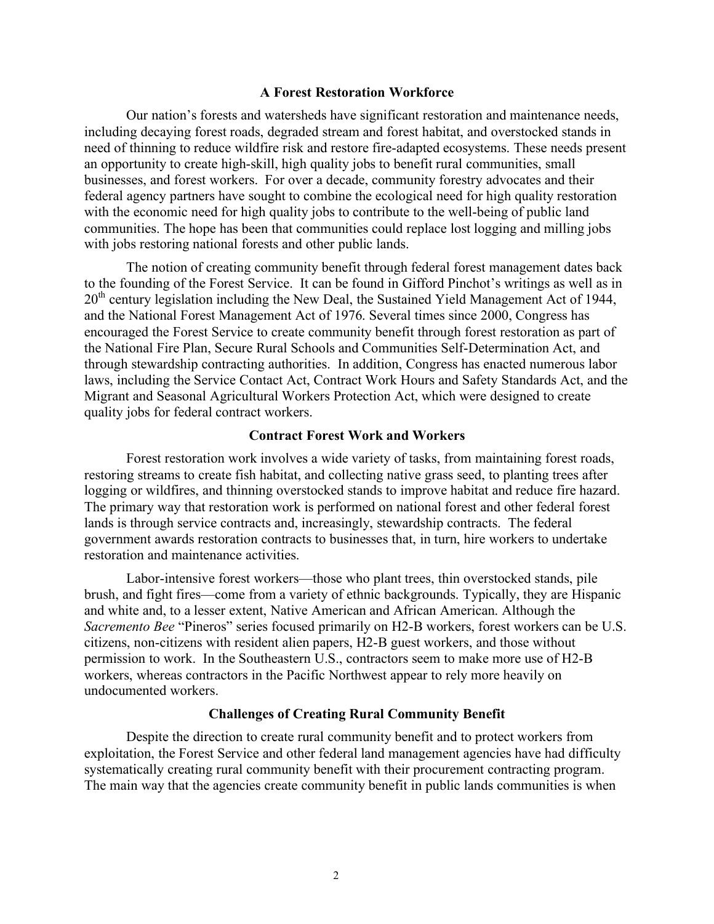## **A Forest Restoration Workforce**

Our nation's forests and watersheds have significant restoration and maintenance needs, including decaying forest roads, degraded stream and forest habitat, and overstocked stands in need of thinning to reduce wildfire risk and restore fire-adapted ecosystems. These needs present an opportunity to create high-skill, high quality jobs to benefit rural communities, small businesses, and forest workers. For over a decade, community forestry advocates and their federal agency partners have sought to combine the ecological need for high quality restoration with the economic need for high quality jobs to contribute to the well-being of public land communities. The hope has been that communities could replace lost logging and milling jobs with jobs restoring national forests and other public lands.

The notion of creating community benefit through federal forest management dates back to the founding of the Forest Service. It can be found in Gifford Pinchot's writings as well as in 20<sup>th</sup> century legislation including the New Deal, the Sustained Yield Management Act of 1944, and the National Forest Management Act of 1976. Several times since 2000, Congress has encouraged the Forest Service to create community benefit through forest restoration as part of the National Fire Plan, Secure Rural Schools and Communities Self-Determination Act, and through stewardship contracting authorities. In addition, Congress has enacted numerous labor laws, including the Service Contact Act, Contract Work Hours and Safety Standards Act, and the Migrant and Seasonal Agricultural Workers Protection Act, which were designed to create quality jobs for federal contract workers.

## **Contract Forest Work and Workers**

Forest restoration work involves a wide variety of tasks, from maintaining forest roads, restoring streams to create fish habitat, and collecting native grass seed, to planting trees after logging or wildfires, and thinning overstocked stands to improve habitat and reduce fire hazard. The primary way that restoration work is performed on national forest and other federal forest lands is through service contracts and, increasingly, stewardship contracts. The federal government awards restoration contracts to businesses that, in turn, hire workers to undertake restoration and maintenance activities.

Labor-intensive forest workers—those who plant trees, thin overstocked stands, pile brush, and fight fires—come from a variety of ethnic backgrounds. Typically, they are Hispanic and white and, to a lesser extent, Native American and African American. Although the *Sacremento Bee* "Pineros" series focused primarily on H2-B workers, forest workers can be U.S. citizens, non-citizens with resident alien papers, H2-B guest workers, and those without permission to work. In the Southeastern U.S., contractors seem to make more use of H2-B workers, whereas contractors in the Pacific Northwest appear to rely more heavily on undocumented workers.

# **Challenges of Creating Rural Community Benefit**

Despite the direction to create rural community benefit and to protect workers from exploitation, the Forest Service and other federal land management agencies have had difficulty systematically creating rural community benefit with their procurement contracting program. The main way that the agencies create community benefit in public lands communities is when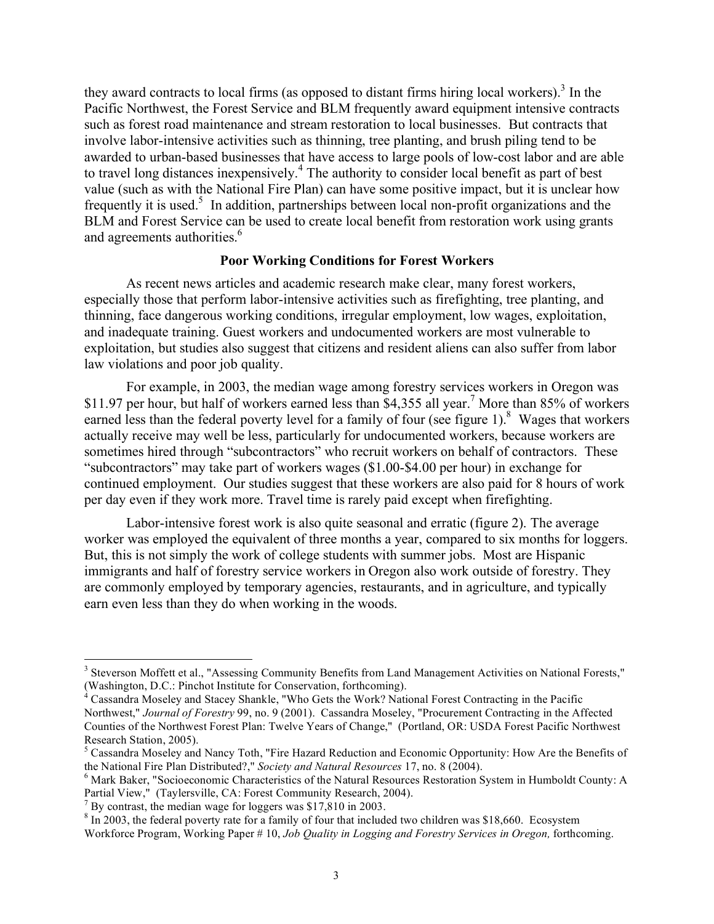they award contracts to local firms (as opposed to distant firms hiring local workers). <sup>3</sup> In the Pacific Northwest, the Forest Service and BLM frequently award equipment intensive contracts such as forest road maintenance and stream restoration to local businesses. But contracts that involve labor-intensive activities such as thinning, tree planting, and brush piling tend to be awarded to urban-based businesses that have access to large pools of low-cost labor and are able to travel long distances inexpensively. <sup>4</sup> The authority to consider local benefit as part of best value (such as with the National Fire Plan) can have some positive impact, but it is unclear how frequently it is used.<sup>5</sup> In addition, partnerships between local non-profit organizations and the BLM and Forest Service can be used to create local benefit from restoration work using grants and agreements authorities.<sup>6</sup>

## **Poor Working Conditions for Forest Workers**

As recent news articles and academic research make clear, many forest workers, especially those that perform labor-intensive activities such as firefighting, tree planting, and thinning, face dangerous working conditions, irregular employment, low wages, exploitation, and inadequate training. Guest workers and undocumented workers are most vulnerable to exploitation, but studies also suggest that citizens and resident aliens can also suffer from labor law violations and poor job quality.

For example, in 2003, the median wage among forestry services workers in Oregon was \$11.97 per hour, but half of workers earned less than \$4,355 all year.<sup>7</sup> More than 85% of workers earned less than the federal poverty level for a family of four (see figure 1).<sup>8</sup> Wages that workers actually receive may well be less, particularly for undocumented workers, because workers are sometimes hired through "subcontractors" who recruit workers on behalf of contractors. These "subcontractors" may take part of workers wages (\$1.00-\$4.00 per hour) in exchange for continued employment. Our studies suggest that these workers are also paid for 8 hours of work per day even if they work more. Travel time is rarely paid except when firefighting.

Labor-intensive forest work is also quite seasonal and erratic (figure 2). The average worker was employed the equivalent of three months a year, compared to six months for loggers. But, this is not simply the work of college students with summer jobs. Most are Hispanic immigrants and half of forestry service workers in Oregon also work outside of forestry. They are commonly employed by temporary agencies, restaurants, and in agriculture, and typically earn even less than they do when working in the woods.

<sup>&</sup>lt;sup>3</sup> Steverson Moffett et al., "Assessing Community Benefits from Land Management Activities on National Forests," (Washington, D.C.: Pinchot Institute for Conservation, forthcoming). <sup>4</sup> Cassandra Moseley and Stacey Shankle, "Who Gets the Work? National Forest Contracting in the Pacific

Northwest," *Journal of Forestry* 99, no. 9 (2001). Cassandra Moseley, "Procurement Contracting in the Affected Counties of the Northwest Forest Plan: Twelve Years of Change," (Portland, OR: USDA Forest Pacific Northwest Research Station, 2005).<br><sup>5</sup> Cassandra Moseley and Nancy Toth, "Fire Hazard Reduction and Economic Opportunity: How Are the Benefits of

the National Fire Plan Distributed?," *Society and Natural Resources* 17, no. 8 (2004).<br><sup>6</sup> Mark Baker, "Socioeconomic Characteristics of the Natural Resources Restoration System in Humboldt County: A

Partial View," (Taylersville, CA: Forest Community Research, 2004).<br>
<sup>7</sup> By contrast, the median wage for loggers was \$17,810 in 2003.<br>
<sup>8</sup> In 2003, the federal poverty rate for a family of four that included two children

Workforce Program, Working Paper # 10, *Job Quality in Logging and Forestry Services in Oregon,* forthcoming.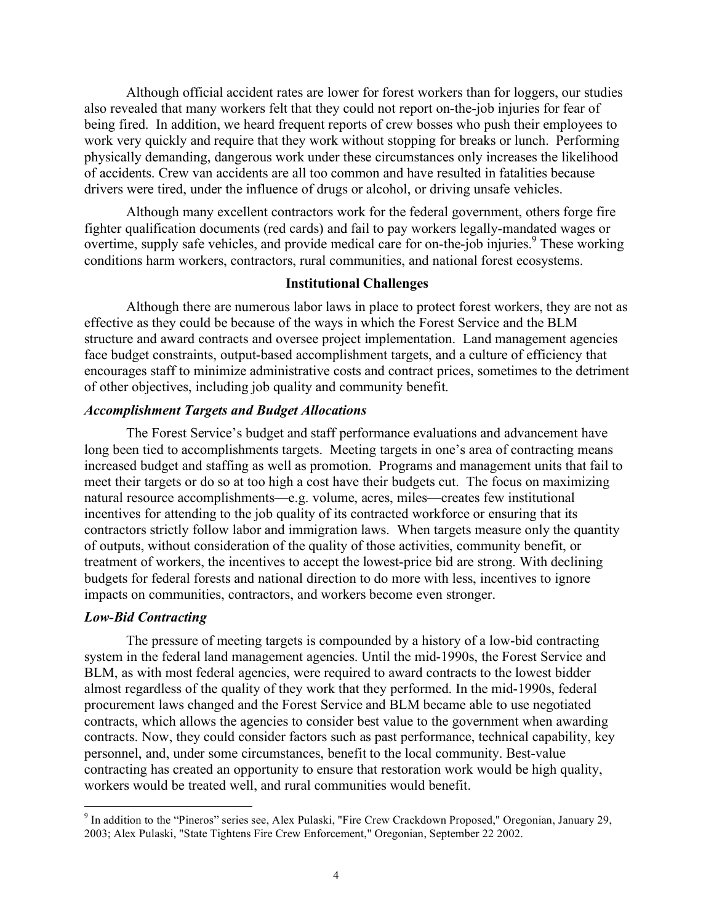Although official accident rates are lower for forest workers than for loggers, our studies also revealed that many workers felt that they could not report on-the-job injuries for fear of being fired. In addition, we heard frequent reports of crew bosses who push their employees to work very quickly and require that they work without stopping for breaks or lunch. Performing physically demanding, dangerous work under these circumstances only increases the likelihood of accidents. Crew van accidents are all too common and have resulted in fatalities because drivers were tired, under the influence of drugs or alcohol, or driving unsafe vehicles.

Although many excellent contractors work for the federal government, others forge fire fighter qualification documents (red cards) and fail to pay workers legally-mandated wages or overtime, supply safe vehicles, and provide medical care for on-the-job injuries.<sup>9</sup> These working conditions harm workers, contractors, rural communities, and national forest ecosystems.

#### **Institutional Challenges**

Although there are numerous labor laws in place to protect forest workers, they are not as effective as they could be because of the ways in which the Forest Service and the BLM structure and award contracts and oversee project implementation. Land management agencies face budget constraints, output-based accomplishment targets, and a culture of efficiency that encourages staff to minimize administrative costs and contract prices, sometimes to the detriment of other objectives, including job quality and community benefit.

## *Accomplishment Targets and Budget Allocations*

The Forest Service's budget and staff performance evaluations and advancement have long been tied to accomplishments targets. Meeting targets in one's area of contracting means increased budget and staffing as well as promotion. Programs and management units that fail to meet their targets or do so at too high a cost have their budgets cut. The focus on maximizing natural resource accomplishments—e.g. volume, acres, miles—creates few institutional incentives for attending to the job quality of its contracted workforce or ensuring that its contractors strictly follow labor and immigration laws. When targets measure only the quantity of outputs, without consideration of the quality of those activities, community benefit, or treatment of workers, the incentives to accept the lowest-price bid are strong. With declining budgets for federal forests and national direction to do more with less, incentives to ignore impacts on communities, contractors, and workers become even stronger.

#### *Low-Bid Contracting*

The pressure of meeting targets is compounded by a history of a low-bid contracting system in the federal land management agencies. Until the mid-1990s, the Forest Service and BLM, as with most federal agencies, were required to award contracts to the lowest bidder almost regardless of the quality of they work that they performed. In the mid-1990s, federal procurement laws changed and the Forest Service and BLM became able to use negotiated contracts, which allows the agencies to consider best value to the government when awarding contracts. Now, they could consider factors such as past performance, technical capability, key personnel, and, under some circumstances, benefit to the local community. Best-value contracting has created an opportunity to ensure that restoration work would be high quality, workers would be treated well, and rural communities would benefit.

 <sup>9</sup> In addition to the "Pineros" series see, Alex Pulaski, "Fire Crew Crackdown Proposed," Oregonian, January 29, 2003; Alex Pulaski, "State Tightens Fire Crew Enforcement," Oregonian, September 22 2002.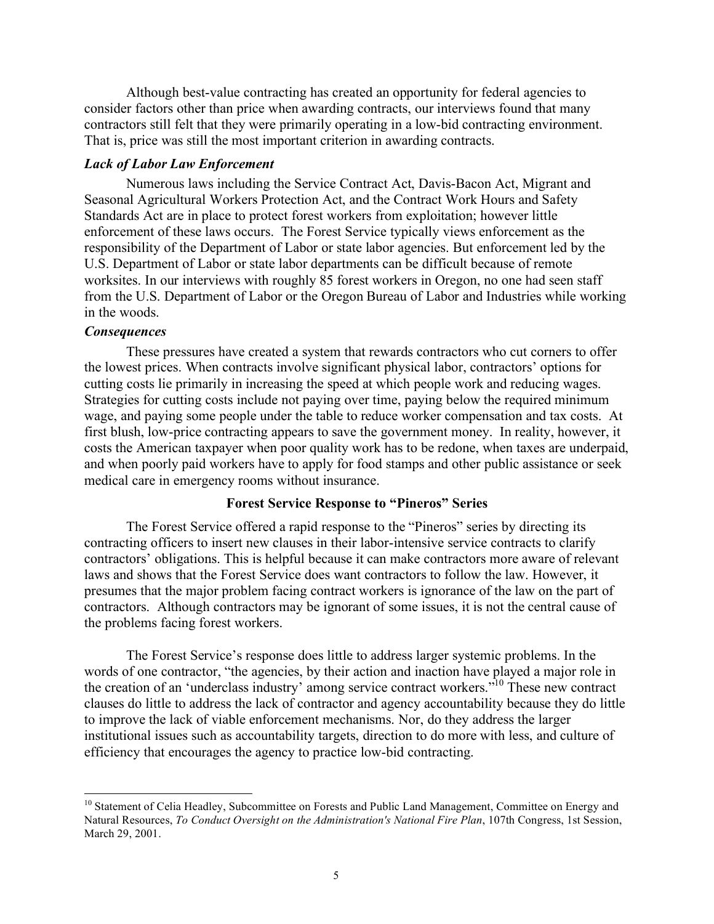Although best-value contracting has created an opportunity for federal agencies to consider factors other than price when awarding contracts, our interviews found that many contractors still felt that they were primarily operating in a low-bid contracting environment. That is, price was still the most important criterion in awarding contracts.

### *Lack of Labor Law Enforcement*

Numerous laws including the Service Contract Act, Davis-Bacon Act, Migrant and Seasonal Agricultural Workers Protection Act, and the Contract Work Hours and Safety Standards Act are in place to protect forest workers from exploitation; however little enforcement of these laws occurs. The Forest Service typically views enforcement as the responsibility of the Department of Labor or state labor agencies. But enforcement led by the U.S. Department of Labor or state labor departments can be difficult because of remote worksites. In our interviews with roughly 85 forest workers in Oregon, no one had seen staff from the U.S. Department of Labor or the Oregon Bureau of Labor and Industries while working in the woods.

## *Consequences*

These pressures have created a system that rewards contractors who cut corners to offer the lowest prices. When contracts involve significant physical labor, contractors' options for cutting costs lie primarily in increasing the speed at which people work and reducing wages. Strategies for cutting costs include not paying over time, paying below the required minimum wage, and paying some people under the table to reduce worker compensation and tax costs. At first blush, low-price contracting appears to save the government money. In reality, however, it costs the American taxpayer when poor quality work has to be redone, when taxes are underpaid, and when poorly paid workers have to apply for food stamps and other public assistance or seek medical care in emergency rooms without insurance.

### **Forest Service Response to "Pineros" Series**

The Forest Service offered a rapid response to the "Pineros" series by directing its contracting officers to insert new clauses in their labor-intensive service contracts to clarify contractors' obligations. This is helpful because it can make contractors more aware of relevant laws and shows that the Forest Service does want contractors to follow the law. However, it presumes that the major problem facing contract workers is ignorance of the law on the part of contractors. Although contractors may be ignorant of some issues, it is not the central cause of the problems facing forest workers.

The Forest Service's response does little to address larger systemic problems. In the words of one contractor, "the agencies, by their action and inaction have played a major role in the creation of an 'underclass industry' among service contract workers."<sup>10</sup> These new contract clauses do little to address the lack of contractor and agency accountability because they do little to improve the lack of viable enforcement mechanisms. Nor, do they address the larger institutional issues such as accountability targets, direction to do more with less, and culture of efficiency that encourages the agency to practice low-bid contracting.

<sup>&</sup>lt;sup>10</sup> Statement of Celia Headley, Subcommittee on Forests and Public Land Management, Committee on Energy and Natural Resources, *To Conduct Oversight on the Administration's National Fire Plan*, 107th Congress, 1st Session, March 29, 2001.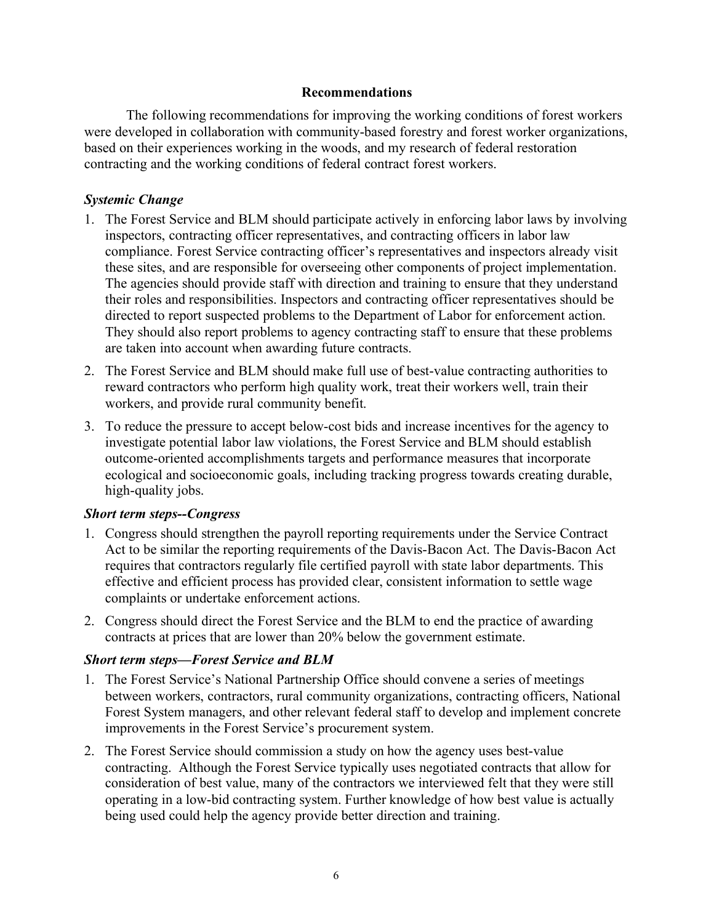# **Recommendations**

The following recommendations for improving the working conditions of forest workers were developed in collaboration with community-based forestry and forest worker organizations, based on their experiences working in the woods, and my research of federal restoration contracting and the working conditions of federal contract forest workers.

# *Systemic Change*

- 1. The Forest Service and BLM should participate actively in enforcing labor laws by involving inspectors, contracting officer representatives, and contracting officers in labor law compliance. Forest Service contracting officer's representatives and inspectors already visit these sites, and are responsible for overseeing other components of project implementation. The agencies should provide staff with direction and training to ensure that they understand their roles and responsibilities. Inspectors and contracting officer representatives should be directed to report suspected problems to the Department of Labor for enforcement action. They should also report problems to agency contracting staff to ensure that these problems are taken into account when awarding future contracts.
- 2. The Forest Service and BLM should make full use of best-value contracting authorities to reward contractors who perform high quality work, treat their workers well, train their workers, and provide rural community benefit.
- 3. To reduce the pressure to accept below-cost bids and increase incentives for the agency to investigate potential labor law violations, the Forest Service and BLM should establish outcome-oriented accomplishments targets and performance measures that incorporate ecological and socioeconomic goals, including tracking progress towards creating durable, high-quality jobs.

# *Short term steps--Congress*

- 1. Congress should strengthen the payroll reporting requirements under the Service Contract Act to be similar the reporting requirements of the Davis-Bacon Act. The Davis-Bacon Act requires that contractors regularly file certified payroll with state labor departments. This effective and efficient process has provided clear, consistent information to settle wage complaints or undertake enforcement actions.
- 2. Congress should direct the Forest Service and the BLM to end the practice of awarding contracts at prices that are lower than 20% below the government estimate.

# *Short term steps—Forest Service and BLM*

- 1. The Forest Service's National Partnership Office should convene a series of meetings between workers, contractors, rural community organizations, contracting officers, National Forest System managers, and other relevant federal staff to develop and implement concrete improvements in the Forest Service's procurement system.
- 2. The Forest Service should commission a study on how the agency uses best-value contracting. Although the Forest Service typically uses negotiated contracts that allow for consideration of best value, many of the contractors we interviewed felt that they were still operating in a low-bid contracting system. Further knowledge of how best value is actually being used could help the agency provide better direction and training.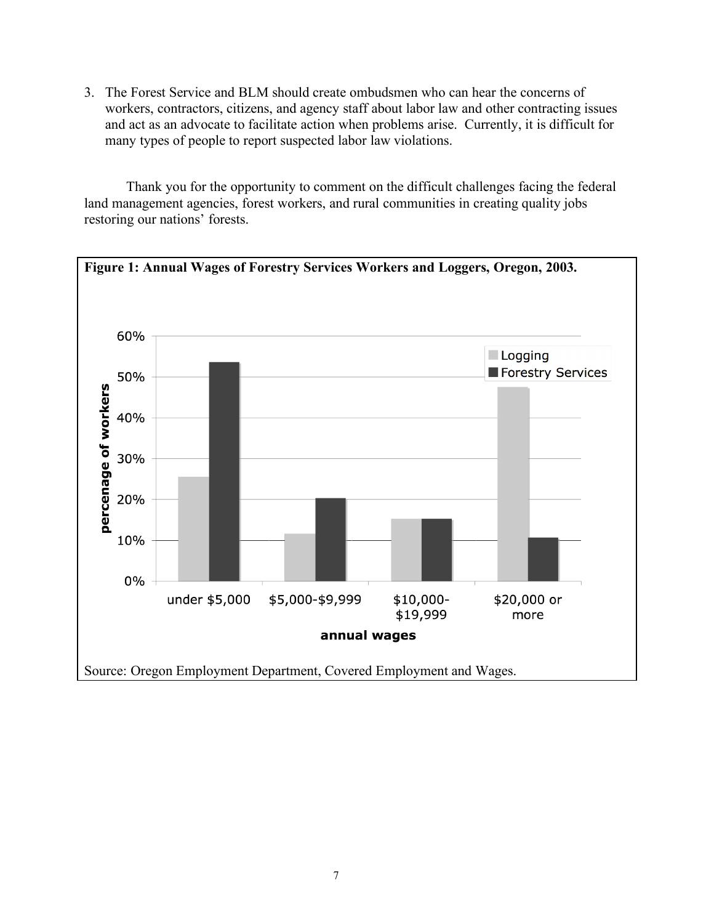3. The Forest Service and BLM should create ombudsmen who can hear the concerns of workers, contractors, citizens, and agency staff about labor law and other contracting issues and act as an advocate to facilitate action when problems arise. Currently, it is difficult for many types of people to report suspected labor law violations.

Thank you for the opportunity to comment on the difficult challenges facing the federal land management agencies, forest workers, and rural communities in creating quality jobs restoring our nations' forests.